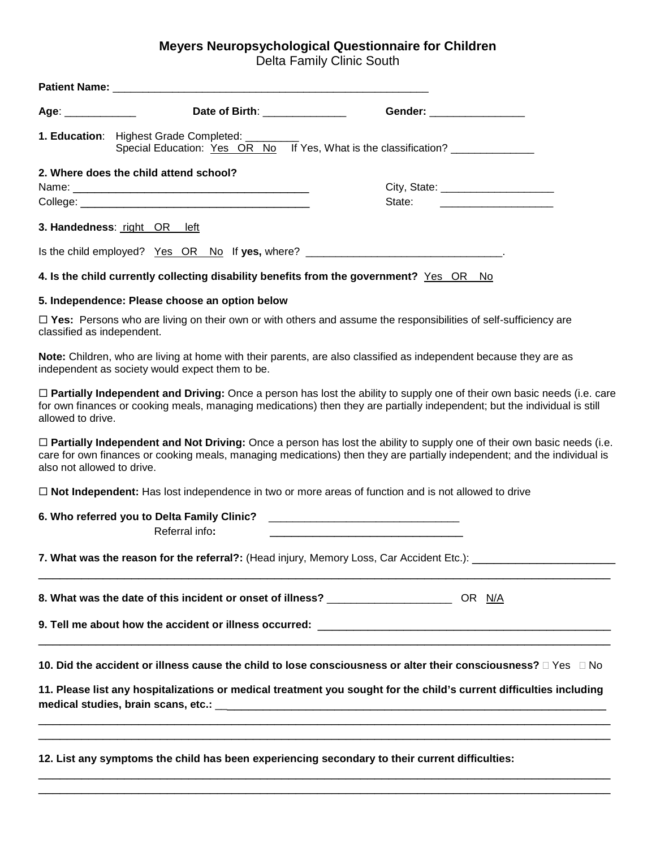## **Meyers Neuropsychological Questionnaire for Children**

Delta Family Clinic South

| Age: _____________         | Date of Birth: The Contract of Birth:                                                                                                                                                                                                | Gender: All and the state of the state of the state of the state of the state of the state of the state of the                                                                                                                                              |
|----------------------------|--------------------------------------------------------------------------------------------------------------------------------------------------------------------------------------------------------------------------------------|-------------------------------------------------------------------------------------------------------------------------------------------------------------------------------------------------------------------------------------------------------------|
|                            | 1. Education: Highest Grade Completed: ____                                                                                                                                                                                          | Special Education: Yes OR No If Yes, What is the classification?                                                                                                                                                                                            |
|                            | 2. Where does the child attend school?                                                                                                                                                                                               |                                                                                                                                                                                                                                                             |
|                            |                                                                                                                                                                                                                                      | City, State: _______________________                                                                                                                                                                                                                        |
|                            | College: <u>with the colle</u> ge of the college of the college of the college of the college of the college of the college of the college of the college of the college of the college of the college of the college of the college | State:                                                                                                                                                                                                                                                      |
|                            | 3. Handedness: right OR left                                                                                                                                                                                                         |                                                                                                                                                                                                                                                             |
|                            | Is the child employed? Yes OR No If yes, where? _________________________________                                                                                                                                                    |                                                                                                                                                                                                                                                             |
|                            | 4. Is the child currently collecting disability benefits from the government? Yes OR No                                                                                                                                              |                                                                                                                                                                                                                                                             |
|                            | 5. Independence: Please choose an option below                                                                                                                                                                                       |                                                                                                                                                                                                                                                             |
| classified as independent. |                                                                                                                                                                                                                                      | $\Box$ Yes: Persons who are living on their own or with others and assume the responsibilities of self-sufficiency are                                                                                                                                      |
|                            | independent as society would expect them to be.                                                                                                                                                                                      | Note: Children, who are living at home with their parents, are also classified as independent because they are as                                                                                                                                           |
| allowed to drive.          |                                                                                                                                                                                                                                      | $\Box$ Partially Independent and Driving: Once a person has lost the ability to supply one of their own basic needs (i.e. care<br>for own finances or cooking meals, managing medications) then they are partially independent; but the individual is still |
| also not allowed to drive. |                                                                                                                                                                                                                                      | $\Box$ Partially Independent and Not Driving: Once a person has lost the ability to supply one of their own basic needs (i.e.<br>care for own finances or cooking meals, managing medications) then they are partially independent; and the individual is   |
|                            |                                                                                                                                                                                                                                      | □ Not Independent: Has lost independence in two or more areas of function and is not allowed to drive                                                                                                                                                       |
|                            | 6. Who referred you to Delta Family Clinic?<br>Referral info:                                                                                                                                                                        |                                                                                                                                                                                                                                                             |
|                            |                                                                                                                                                                                                                                      | 7. What was the reason for the referral?: (Head injury, Memory Loss, Car Accident Etc.): _____________________                                                                                                                                              |
|                            | 8. What was the date of this incident or onset of illness? ______________________ OR N/A                                                                                                                                             |                                                                                                                                                                                                                                                             |
|                            |                                                                                                                                                                                                                                      |                                                                                                                                                                                                                                                             |
|                            |                                                                                                                                                                                                                                      | 10. Did the accident or illness cause the child to lose consciousness or alter their consciousness? $\Box$ Yes $\Box$ No                                                                                                                                    |
|                            |                                                                                                                                                                                                                                      | 11. Please list any hospitalizations or medical treatment you sought for the child's current difficulties including                                                                                                                                         |
|                            | 12. List any symptoms the child has been experiencing secondary to their current difficulties:                                                                                                                                       |                                                                                                                                                                                                                                                             |

\_\_\_\_\_\_\_\_\_\_\_\_\_\_\_\_\_\_\_\_\_\_\_\_\_\_\_\_\_\_\_\_\_\_\_\_\_\_\_\_\_\_\_\_\_\_\_\_\_\_\_\_\_\_\_\_\_\_\_\_\_\_\_\_\_\_\_\_\_\_\_\_\_\_\_\_\_\_\_\_